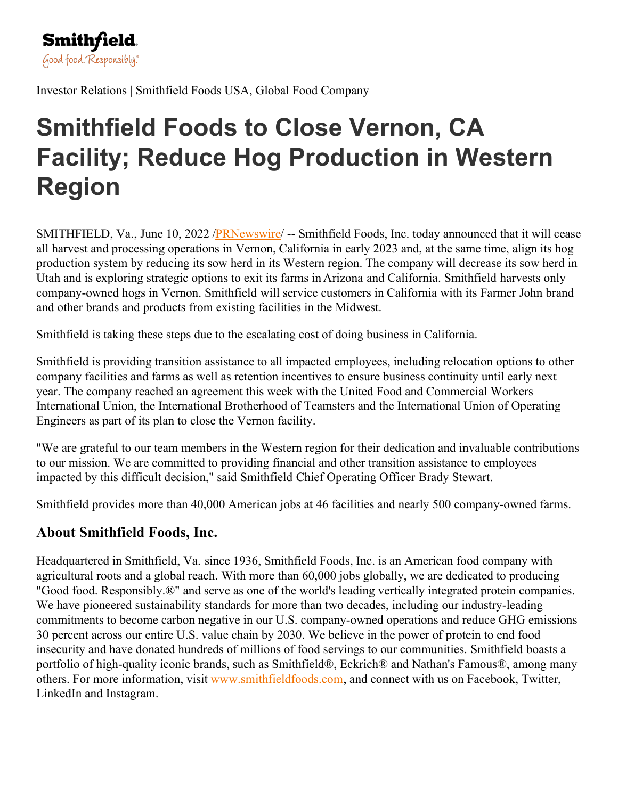

Investor Relations | Smithfield Foods USA, Global Food Company

## **Smithfield Foods to Close Vernon, CA Facility; Reduce Hog Production in Western Region**

SMITHFIELD, Va., June 10, 2022 [/PRNewswire](http://www.prnewswire.com/)/ -- Smithfield Foods, Inc. today announced that it will cease all harvest and processing operations in Vernon, California in early 2023 and, at the same time, align its hog production system by reducing its sow herd in its Western region. The company will decrease its sow herd in Utah and is exploring strategic options to exit its farms in Arizona and California. Smithfield harvests only company-owned hogs in Vernon. Smithfield will service customers in California with its Farmer John brand and other brands and products from existing facilities in the Midwest.

Smithfield is taking these steps due to the escalating cost of doing business in California.

Smithfield is providing transition assistance to all impacted employees, including relocation options to other company facilities and farms as well as retention incentives to ensure business continuity until early next year. The company reached an agreement this week with the United Food and Commercial Workers International Union, the International Brotherhood of Teamsters and the International Union of Operating Engineers as part of its plan to close the Vernon facility.

"We are grateful to our team members in the Western region for their dedication and invaluable contributions to our mission. We are committed to providing financial and other transition assistance to employees impacted by this difficult decision," said Smithfield Chief Operating Officer Brady Stewart.

Smithfield provides more than 40,000 American jobs at 46 facilities and nearly 500 company-owned farms.

## **About Smithfield Foods, Inc.**

Headquartered in Smithfield, Va. since 1936, Smithfield Foods, Inc. is an American food company with agricultural roots and a global reach. With more than 60,000 jobs globally, we are dedicated to producing "Good food. Responsibly.®" and serve as one of the world's leading vertically integrated protein companies. We have pioneered sustainability standards for more than two decades, including our industry-leading commitments to become carbon negative in our U.S. company-owned operations and reduce GHG emissions 30 percent across our entire U.S. value chain by 2030. We believe in the power of protein to end food insecurity and have donated hundreds of millions of food servings to our communities. Smithfield boasts a portfolio of high-quality iconic brands, such as Smithfield®, Eckrich® and Nathan's Famous®, among many others. For more information, visit [www.smithfieldfoods.com](http://www.smithfieldfoods.com), and connect with us on Facebook, Twitter, LinkedIn and Instagram.